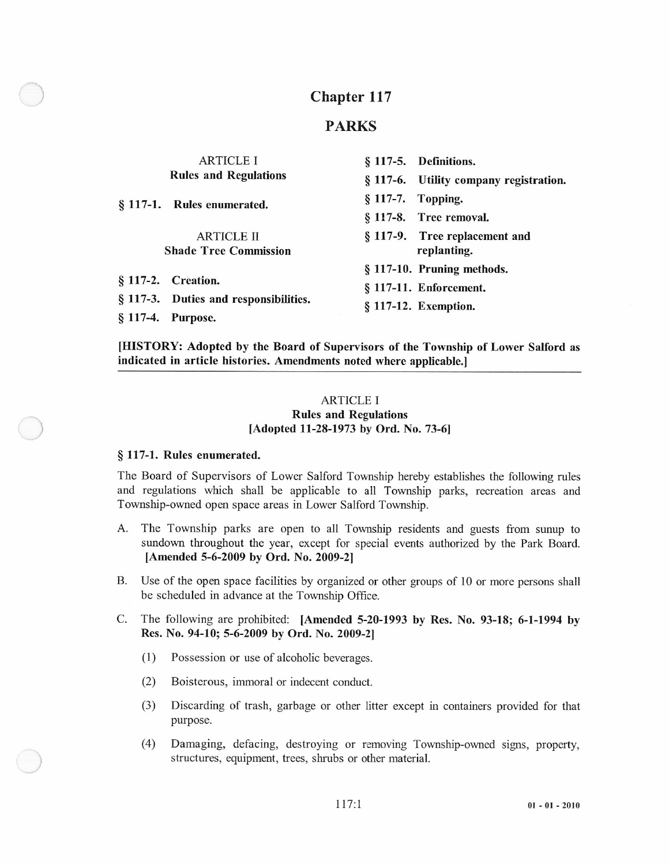## Chapter 117

## PARKS

| <b>ARTICLE I</b><br><b>Rules and Regulations</b> |                                       | § 117-5. Definitions.                  |
|--------------------------------------------------|---------------------------------------|----------------------------------------|
|                                                  |                                       | § 117-6. Utility company registration. |
|                                                  | § 117-1. Rules enumerated.            | § 117-7. Topping.                      |
|                                                  |                                       | § 117-8. Tree removal.                 |
|                                                  | <b>ARTICLE II</b>                     | § 117-9. Tree replacement and          |
| <b>Shade Tree Commission</b>                     |                                       | replanting.                            |
|                                                  |                                       | § 117-10. Pruning methods.             |
|                                                  | § 117-2. Creation.                    | § 117-11. Enforcement.                 |
|                                                  | § 117-3. Duties and responsibilities. | § 117-12. Exemption.                   |
| § 117-4. Purpose.                                |                                       |                                        |

[HISTORY: Adopted by the Board of Supervisors of the Township of Lower Salford as indicated in article histories. Amendments noted where applicable.]

## ARTICLE I Rules and Regulations<br>
[Adopted 11-28-1973 by Ord. No. 73-6]

## § 117-1. Rules enumerated.

The Board of Supervisors of Lower Salford Township hereby establishes the following rules and regulations which shall be applicable to all Township parks, recreation areas and Township-owned open space areas in Lower Salford Township.

- A. The Township parks are open to all Township residents and guests from sunup to sundown throughout the year, except for special events authorized by the Park Board. [Amended 5-6-2009 by Ord. No. 2009-21
- B. Use of the open space facilities by organized or other groups of 10 or more persons shall be scheduled in advance at the Township Office.
- C. The following are prohibited: lAmended 5-20-1993 by Res. No. 93-18; 6-1-1994 by Res. No. 94-10; 5-6-2009 by Ord. No. 2009-2]
	- (1) Possession or use of alcoholic beverages.
	- (2) Boisterous, immoral or indecent conduct.
	- (3) Discarding of trash, garbage or other litter except in containers provided for that purpose.
	- (4) Damaging, defacing, destroying or removing Township-owned signs, property, structures, equipment, trees, shrubs or other material.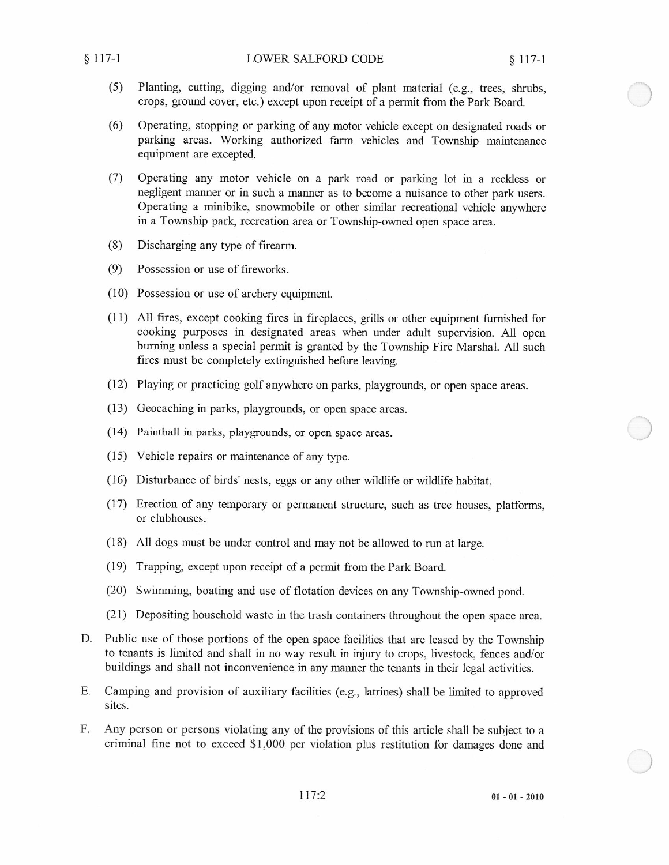- (5) Planting, cutting, digging and/or removal of plant material (e.g., trees, shrubs, crops, ground cover, etc.) except upon receipt of <sup>a</sup> permit from the Park Board.
- (6) Operating, stopping or parking of any motor vehicle except on designated roads or parking areas. Working authorized farm vehicles and Township maintenance equipment are excepted.
- (7) Operating any motor vehicle on <sup>a</sup> park road or parking lot in <sup>a</sup> reckless or negligent manner or in such <sup>a</sup> manner as to become <sup>a</sup> nuisance to other park users. Operating <sup>a</sup> minibike, snowmobile or other similar recreational vehicle anywhere in <sup>a</sup> Township park, recreation area or Township-owned open space area.
- (8) Discharging any type of firearm.
- (9) Possession or use of fireworks.
- (10) Possession or use of archery equipment.
- (11) All fires, except cooking fires in fireplaces, grills or other equipment furnished for cooking purposes in designated areas when under adult supervision. All open burning unless <sup>a</sup> special permit is granted by the Township Fire Marshal. All such fires must be completely extinguished before leaving.
- (12) Playing or practicing golf anywhere on parks, playgrounds, or open space areas.
- (13) Geocaching in parks, playgrounds, or open space areas.
- (14) Paintball in parks, playgrounds, or open space areas.
- (15) Vehicle repairs or maintenance of any type.
- (16) Disturbance of birds' nests, eggs or any other wildlife or wildlife habitat.
- (17) Erection of any temporary or permanent structure, such as tree houses, platforms, or clubhouses.
- (18) All dogs must be under control and may not be allowed to run at large.
- (19) Trapping, except upon receipt of <sup>a</sup> permit from the Park Board.
- (20) Swimming, boating and use of flotation devices on any Township-owned pond.
- (21) Depositing household waste in the trash containers throughout the open space area.
- D. Public use of those portions of the open space facilities that are leased by the Township to tenants is limited and shall in no way result in injury to crops, livestock, fences and/or buildings and shall not inconvenience in any manner the tenants in their legal activities.
- E. Camping and provision of auxiliary facilities (e.g., latrines) shall be limited to approved sites.
- F. Any person or persons violating any of the provisions of this article shall be subject to <sup>a</sup> criminal fine not to exceed \$1,000 per violation plus restitution for damages done and

117:2 01-01-2010